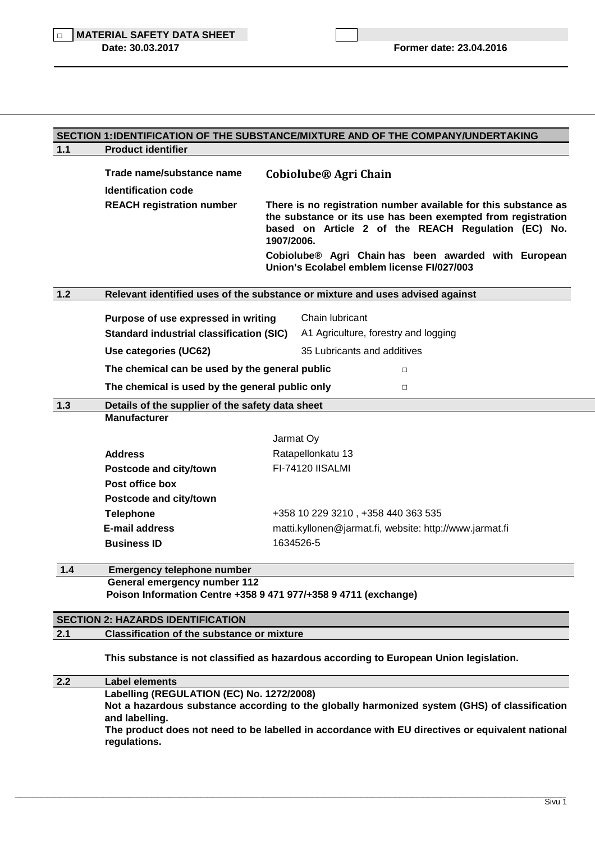|       |                                                                                                                                                                                                                                                                  |  | SECTION 1: IDENTIFICATION OF THE SUBSTANCE/MIXTURE AND OF THE COMPANY/UNDERTAKING                                                                                                                    |  |  |
|-------|------------------------------------------------------------------------------------------------------------------------------------------------------------------------------------------------------------------------------------------------------------------|--|------------------------------------------------------------------------------------------------------------------------------------------------------------------------------------------------------|--|--|
| 1.1   | <b>Product identifier</b>                                                                                                                                                                                                                                        |  |                                                                                                                                                                                                      |  |  |
|       | Trade name/substance name<br><b>Identification code</b>                                                                                                                                                                                                          |  | Cobiolube <sup>®</sup> Agri Chain                                                                                                                                                                    |  |  |
|       | <b>REACH registration number</b>                                                                                                                                                                                                                                 |  | There is no registration number available for this substance as<br>the substance or its use has been exempted from registration<br>based on Article 2 of the REACH Regulation (EC) No.<br>1907/2006. |  |  |
|       |                                                                                                                                                                                                                                                                  |  | Cobiolube® Agri Chain has been awarded with European<br>Union's Ecolabel emblem license FI/027/003                                                                                                   |  |  |
| $1.2$ |                                                                                                                                                                                                                                                                  |  | Relevant identified uses of the substance or mixture and uses advised against                                                                                                                        |  |  |
|       | Purpose of use expressed in writing                                                                                                                                                                                                                              |  | Chain lubricant                                                                                                                                                                                      |  |  |
|       | <b>Standard industrial classification (SIC)</b>                                                                                                                                                                                                                  |  | A1 Agriculture, forestry and logging                                                                                                                                                                 |  |  |
|       | Use categories (UC62)                                                                                                                                                                                                                                            |  | 35 Lubricants and additives                                                                                                                                                                          |  |  |
|       | The chemical can be used by the general public                                                                                                                                                                                                                   |  | $\Box$                                                                                                                                                                                               |  |  |
|       | The chemical is used by the general public only<br>$\Box$                                                                                                                                                                                                        |  |                                                                                                                                                                                                      |  |  |
| 1.3   | Details of the supplier of the safety data sheet                                                                                                                                                                                                                 |  |                                                                                                                                                                                                      |  |  |
|       | <b>Manufacturer</b>                                                                                                                                                                                                                                              |  |                                                                                                                                                                                                      |  |  |
|       |                                                                                                                                                                                                                                                                  |  | Jarmat Oy                                                                                                                                                                                            |  |  |
|       | <b>Address</b>                                                                                                                                                                                                                                                   |  | Ratapellonkatu 13                                                                                                                                                                                    |  |  |
|       | Postcode and city/town                                                                                                                                                                                                                                           |  | FI-74120 IISALMI                                                                                                                                                                                     |  |  |
|       | Post office box                                                                                                                                                                                                                                                  |  |                                                                                                                                                                                                      |  |  |
|       | Postcode and city/town                                                                                                                                                                                                                                           |  |                                                                                                                                                                                                      |  |  |
|       | <b>Telephone</b>                                                                                                                                                                                                                                                 |  | +358 10 229 3210, +358 440 363 535                                                                                                                                                                   |  |  |
|       | <b>E-mail address</b>                                                                                                                                                                                                                                            |  | matti.kyllonen@jarmat.fi, website: http://www.jarmat.fi                                                                                                                                              |  |  |
|       | <b>Business ID</b>                                                                                                                                                                                                                                               |  | 1634526-5                                                                                                                                                                                            |  |  |
| $1.4$ | <b>Emergency telephone number</b>                                                                                                                                                                                                                                |  |                                                                                                                                                                                                      |  |  |
|       | General emergency number 112<br>Poison Information Centre +358 9 471 977/+358 9 4711 (exchange)                                                                                                                                                                  |  |                                                                                                                                                                                                      |  |  |
|       | <b>SECTION 2: HAZARDS IDENTIFICATION</b>                                                                                                                                                                                                                         |  |                                                                                                                                                                                                      |  |  |
| 2.1   | <b>Classification of the substance or mixture</b>                                                                                                                                                                                                                |  |                                                                                                                                                                                                      |  |  |
|       |                                                                                                                                                                                                                                                                  |  | This substance is not classified as hazardous according to European Union legislation.                                                                                                               |  |  |
| 2.2   | <b>Label elements</b>                                                                                                                                                                                                                                            |  |                                                                                                                                                                                                      |  |  |
|       | Labelling (REGULATION (EC) No. 1272/2008)<br>Not a hazardous substance according to the globally harmonized system (GHS) of classification<br>and labelling.<br>The product does not need to be labelled in accordance with EU directives or equivalent national |  |                                                                                                                                                                                                      |  |  |

\_\_\_\_\_\_\_\_\_\_\_\_\_\_\_\_\_\_\_\_\_\_\_\_\_\_\_\_\_\_\_\_\_\_\_\_\_\_\_\_\_\_\_\_\_\_\_\_\_\_\_\_\_\_\_\_\_\_\_\_\_\_\_\_\_\_\_\_\_\_\_\_\_\_\_\_\_\_\_\_\_\_\_\_\_\_\_\_\_\_\_\_\_\_\_\_\_\_\_\_\_\_\_\_\_\_\_\_\_\_\_\_\_\_\_\_\_\_\_\_\_\_\_\_\_\_\_\_\_\_\_\_\_\_\_\_\_\_\_\_\_\_\_\_\_\_\_\_\_\_\_\_\_\_\_\_\_\_\_\_\_\_\_\_\_\_\_\_\_\_\_\_\_\_\_\_\_\_\_\_\_\_\_\_\_\_\_\_\_\_\_\_\_\_\_\_\_\_\_\_\_\_\_\_\_\_\_\_\_\_\_\_\_\_\_\_\_\_\_\_\_\_\_\_\_\_\_\_\_\_\_\_\_\_\_\_\_\_\_\_\_\_\_\_\_\_\_\_\_\_\_\_\_\_\_

 **regulations.**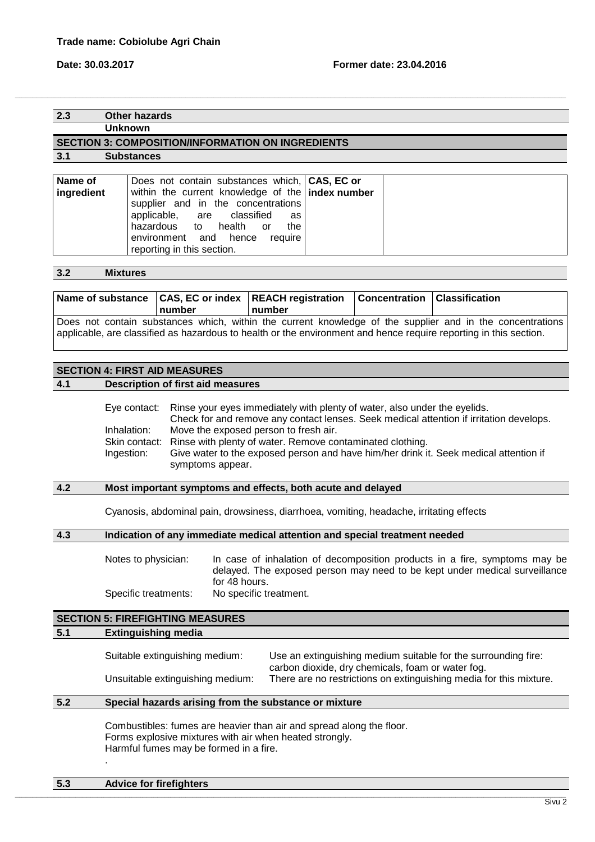## **2.3 Other hazards**

**Unknown** 

#### **SECTION 3: COMPOSITION/INFORMATION ON INGREDIENTS**

**3.1 Substances** 

| Name of    | Does not contain substances which, CAS, EC or      |  |
|------------|----------------------------------------------------|--|
| ingredient | within the current knowledge of the   index number |  |
|            | supplier and in the concentrations                 |  |
|            | applicable, are classified as                      |  |
|            | hazardous to health or<br>the                      |  |
|            | environment and hence<br>reauire                   |  |
|            | reporting in this section.                         |  |

,我们也不能会在这里,我们的人们就会在这里,我们也不能会在这里,我们也不能会在这里,我们也不能会在这里,我们也不能会在这里,我们也不能会在这里,我们也不能会在这里

#### **3.2 Mixtures**

| number | Name of substance CAS, EC or index REACH registration Concentration Classification<br>number |                                                                                                           |
|--------|----------------------------------------------------------------------------------------------|-----------------------------------------------------------------------------------------------------------|
|        |                                                                                              | Does not contain substances which, within the current knowledge of the supplier and in the concentrations |

applicable, are classified as hazardous to health or the environment and hence require reporting in this section.

## **SECTION 4: FIRST AID MEASURES**

#### **4.1 Description of first aid measures**

Eye contact: Rinse your eyes immediately with plenty of water, also under the eyelids. Check for and remove any contact lenses. Seek medical attention if irritation develops. Inhalation: Move the exposed person to fresh air. Skin contact: Rinse with plenty of water. Remove contaminated clothing. Ingestion: Give water to the exposed person and have him/her drink it. Seek medical attention if symptoms appear.

## **4.2 Most important symptoms and effects, both acute and delayed**

Cyanosis, abdominal pain, drowsiness, diarrhoea, vomiting, headache, irritating effects

### **4.3 Indication of any immediate medical attention and special treatment needed**

Notes to physician: In case of inhalation of decomposition products in a fire, symptoms may be delayed. The exposed person may need to be kept under medical surveillance for 48 hours. Specific treatments: No specific treatment.

# **SECTION 5: FIREFIGHTING MEASURES**

## **5.1 Extinguishing media**

| Suitable extinguishing medium:   | Use an extinguishing medium suitable for the surrounding fire:                                                          |
|----------------------------------|-------------------------------------------------------------------------------------------------------------------------|
| Unsuitable extinguishing medium: | carbon dioxide, dry chemicals, foam or water fog.<br>There are no restrictions on extinguishing media for this mixture. |

#### **5.2 Special hazards arising from the substance or mixture**

Combustibles: fumes are heavier than air and spread along the floor. Forms explosive mixtures with air when heated strongly. Harmful fumes may be formed in a fire. .

#### **5.3 Advice for firefighters**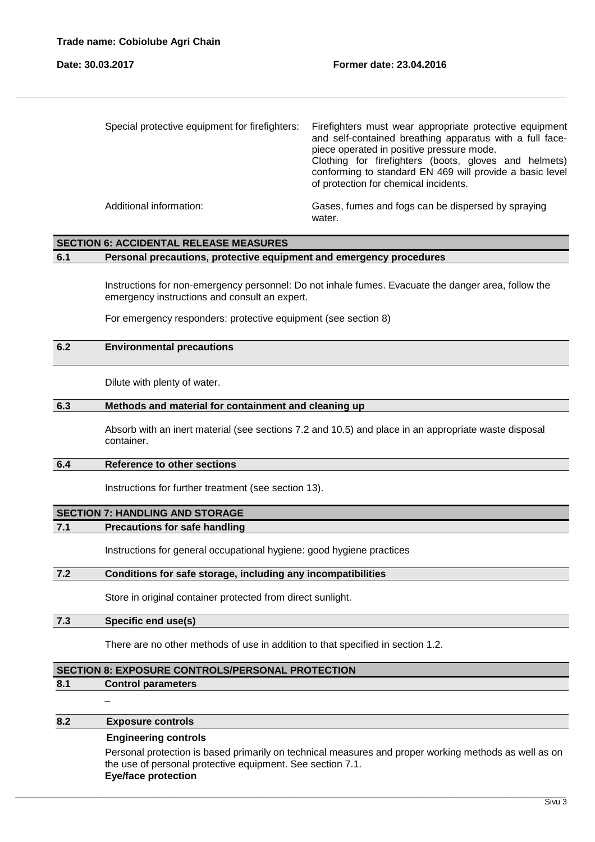| Special protective equipment for firefighters: | Firefighters must wear appropriate protective equipment<br>and self-contained breathing apparatus with a full face-<br>piece operated in positive pressure mode.<br>Clothing for firefighters (boots, gloves and helmets)<br>conforming to standard EN 469 will provide a basic level<br>of protection for chemical incidents. |
|------------------------------------------------|--------------------------------------------------------------------------------------------------------------------------------------------------------------------------------------------------------------------------------------------------------------------------------------------------------------------------------|
| Additional information:                        | Gases, fumes and fogs can be dispersed by spraying<br>water.                                                                                                                                                                                                                                                                   |

,我们也不能会在这里,我们的人们就会在这里,我们也不能会在这里,我们也不能会在这里,我们也不能会在这里,我们也不能会在这里,我们也不能会在这里,我们也不能会在这里

## **SECTION 6: ACCIDENTAL RELEASE MEASURES**

## **6.1 Personal precautions, protective equipment and emergency procedures**

Instructions for non-emergency personnel: Do not inhale fumes. Evacuate the danger area, follow the emergency instructions and consult an expert.

For emergency responders: protective equipment (see section 8)

## **6.2 Environmental precautions**

Dilute with plenty of water.

#### **6.3 Methods and material for containment and cleaning up**

Absorb with an inert material (see sections 7.2 and 10.5) and place in an appropriate waste disposal container.

#### **6.4 Reference to other sections**

Instructions for further treatment (see section 13).

## **SECTION 7: HANDLING AND STORAGE**

#### **7.1 Precautions for safe handling**

Instructions for general occupational hygiene: good hygiene practices

#### **7.2 Conditions for safe storage, including any incompatibilities**

Store in original container protected from direct sunlight.

#### **7.3 Specific end use(s)**

There are no other methods of use in addition to that specified in section 1.2.

\_\_\_\_\_\_\_\_\_\_\_\_\_\_\_\_\_\_\_\_\_\_\_\_\_\_\_\_\_\_\_\_\_\_\_\_\_\_\_\_\_\_\_\_\_\_\_\_\_\_\_\_\_\_\_\_\_\_\_\_\_\_\_\_\_\_\_\_\_\_\_\_\_\_\_\_\_\_\_\_\_\_\_\_\_\_\_\_\_\_\_\_\_\_\_\_\_\_\_\_\_\_\_\_\_\_\_\_\_\_\_\_\_\_\_\_\_\_\_\_\_\_\_\_\_\_\_\_\_\_\_\_\_\_\_\_\_\_\_\_\_\_\_\_\_\_\_\_\_\_\_\_\_\_\_\_\_\_\_\_\_\_\_\_\_\_\_\_\_\_\_\_\_\_\_\_\_\_\_\_\_\_\_\_\_\_\_\_\_\_\_\_\_\_\_\_\_\_\_\_\_\_\_\_\_\_\_\_\_\_\_\_\_\_\_\_\_\_\_\_\_\_\_\_\_\_\_\_\_\_\_\_\_\_\_\_\_\_\_\_\_\_\_\_\_\_\_\_\_\_\_\_\_\_\_

#### **SECTION 8: EXPOSURE CONTROLS/PERSONAL PROTECTION**

#### **8.1 Control parameters**

 $\overline{a}$ 

#### **8.2 Exposure controls**

#### **Engineering controls**

Personal protection is based primarily on technical measures and proper working methods as well as on the use of personal protective equipment. See section 7.1. **Eye/face protection**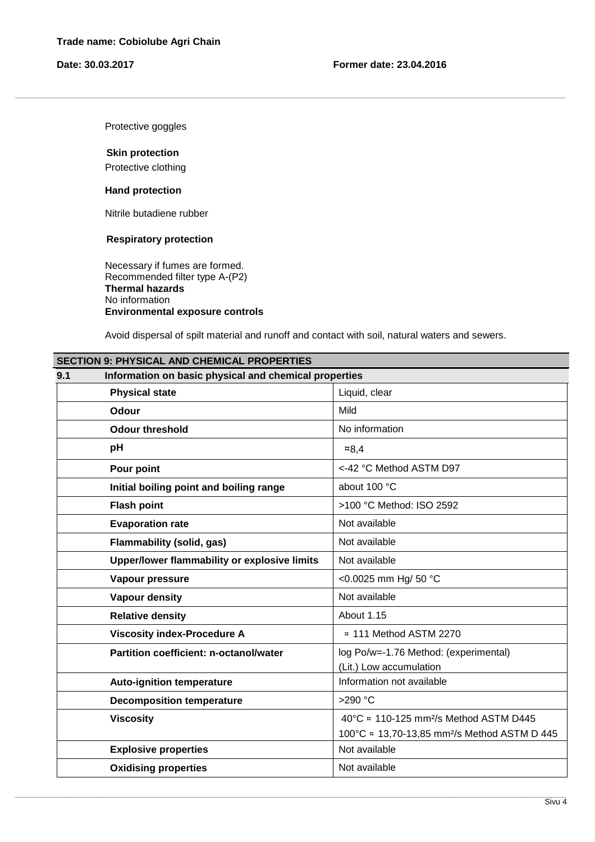Protective goggles

#### **Skin protection**

Protective clothing

#### **Hand protection**

Nitrile butadiene rubber

## **Respiratory protection**

Necessary if fumes are formed. Recommended filter type A-(P2) **Thermal hazards**  No information  **Environmental exposure controls** 

Avoid dispersal of spilt material and runoff and contact with soil, natural waters and sewers.

,我们也不能会在这里,我们的人们就会在这里,我们也不能会在这里,我们也不能会在这里,我们也不能会在这里,我们也不能会在这里,我们也不能会在这里,我们也不能会在这里

| <b>SECTION 9: PHYSICAL AND CHEMICAL PROPERTIES</b>           |                                                          |  |  |
|--------------------------------------------------------------|----------------------------------------------------------|--|--|
| Information on basic physical and chemical properties<br>9.1 |                                                          |  |  |
| <b>Physical state</b>                                        | Liquid, clear                                            |  |  |
| <b>Odour</b>                                                 | Mild                                                     |  |  |
| <b>Odour threshold</b>                                       | No information                                           |  |  |
| pH                                                           | 8,4                                                      |  |  |
| Pour point                                                   | <-42 °C Method ASTM D97                                  |  |  |
| Initial boiling point and boiling range                      | about 100 °C                                             |  |  |
| <b>Flash point</b>                                           | >100 °C Method: ISO 2592                                 |  |  |
| <b>Evaporation rate</b>                                      | Not available                                            |  |  |
| <b>Flammability (solid, gas)</b>                             | Not available                                            |  |  |
| Upper/lower flammability or explosive limits                 | Not available                                            |  |  |
| Vapour pressure                                              | <0.0025 mm Hg/ 50 °C                                     |  |  |
| <b>Vapour density</b>                                        | Not available                                            |  |  |
| <b>Relative density</b>                                      | About 1.15                                               |  |  |
| <b>Viscosity index-Procedure A</b>                           | ≈ 111 Method ASTM 2270                                   |  |  |
| <b>Partition coefficient: n-octanol/water</b>                | log Po/w=-1.76 Method: (experimental)                    |  |  |
|                                                              | (Lit.) Low accumulation                                  |  |  |
| <b>Auto-ignition temperature</b>                             | Information not available                                |  |  |
| <b>Decomposition temperature</b>                             | >290 $°C$                                                |  |  |
| <b>Viscosity</b>                                             | 40 °C ≈ 110-125 mm <sup>2</sup> /s Method ASTM D445      |  |  |
|                                                              | 100°C ≈ 13,70-13,85 mm <sup>2</sup> /s Method ASTM D 445 |  |  |
| <b>Explosive properties</b>                                  | Not available                                            |  |  |
| <b>Oxidising properties</b>                                  | Not available                                            |  |  |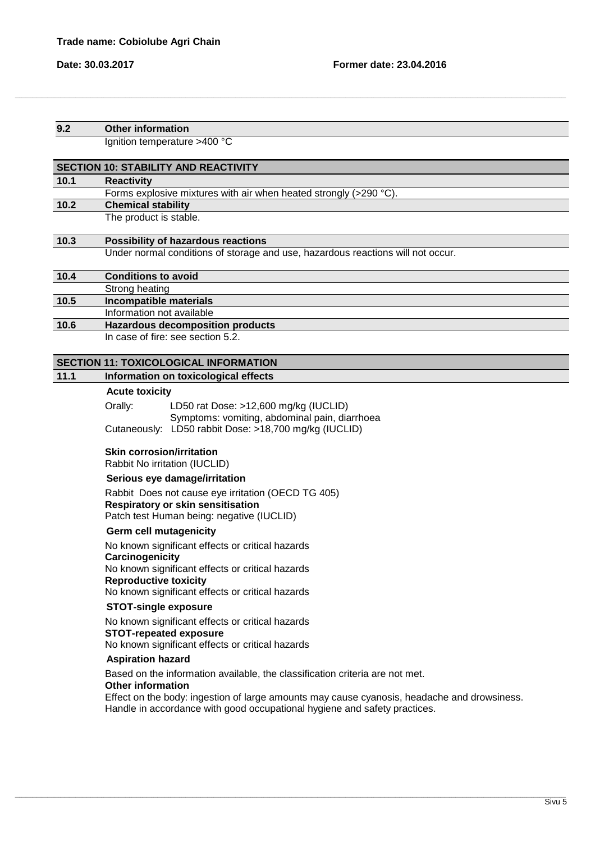## **9.2 Other information**  Ignition temperature >400 °C **SECTION 10: STABILITY AND REACTIVITY 10.1 Reactivity** Forms explosive mixtures with air when heated strongly (>290 °C). **10.2 Chemical stability** The product is stable. **10.3 Possibility of hazardous reactions** Under normal conditions of storage and use, hazardous reactions will not occur. **10.4 Conditions to avoid** Strong heating **10.5 Incompatible materials** Information not available **10.6 Hazardous decomposition products** In case of fire: see section 5.2. **SECTION 11: TOXICOLOGICAL INFORMATION 11.1 Information on toxicological effects Acute toxicity**  Orally: LD50 rat Dose: >12,600 mg/kg (IUCLID) Symptoms: vomiting, abdominal pain, diarrhoea Cutaneously: LD50 rabbit Dose: >18,700 mg/kg (IUCLID) **Skin corrosion/irritation**  Rabbit No irritation (IUCLID)  **Serious eye damage/irritation**  Rabbit Does not cause eye irritation (OECD TG 405) **Respiratory or skin sensitisation**  Patch test Human being: negative (IUCLID) **Germ cell mutagenicity**  No known significant effects or critical hazards **Carcinogenicity**  No known significant effects or critical hazards  **Reproductive toxicity**  No known significant effects or critical hazards **STOT-single exposure**  No known significant effects or critical hazards **STOT-repeated exposure**  No known significant effects or critical hazards  **Aspiration hazard**  Based on the information available, the classification criteria are not met. **Other information**  Effect on the body: ingestion of large amounts may cause cyanosis, headache and drowsiness. Handle in accordance with good occupational hygiene and safety practices.

,我们也不能会在这里,我们的人们就会在这里,我们也不能会在这里,我们也不能会在这里,我们也不能会在这里,我们也不能会在这里,我们也不能会在这里,我们也不能会在这里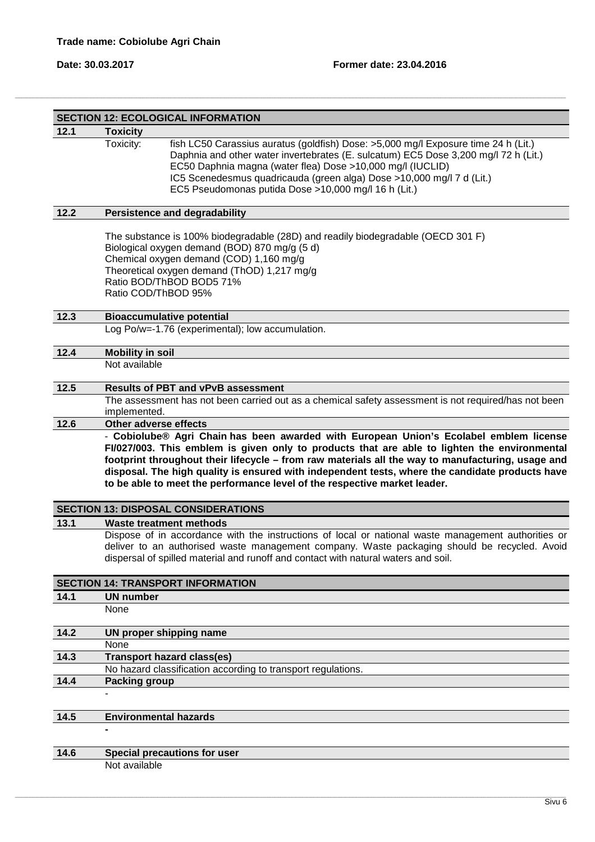|                               | <b>SECTION 12: ECOLOGICAL INFORMATION</b>                                                                                                                                                                                                                                                                                                                                                                                                                                   |  |
|-------------------------------|-----------------------------------------------------------------------------------------------------------------------------------------------------------------------------------------------------------------------------------------------------------------------------------------------------------------------------------------------------------------------------------------------------------------------------------------------------------------------------|--|
| 12.1                          | <b>Toxicity</b>                                                                                                                                                                                                                                                                                                                                                                                                                                                             |  |
|                               | Toxicity:<br>fish LC50 Carassius auratus (goldfish) Dose: >5,000 mg/l Exposure time 24 h (Lit.)<br>Daphnia and other water invertebrates (E. sulcatum) EC5 Dose 3,200 mg/l 72 h (Lit.)<br>EC50 Daphnia magna (water flea) Dose >10,000 mg/l (IUCLID)<br>IC5 Scenedesmus quadricauda (green alga) Dose >10,000 mg/l 7 d (Lit.)<br>EC5 Pseudomonas putida Dose >10,000 mg/l 16 h (Lit.)                                                                                       |  |
| 12.2                          | <b>Persistence and degradability</b>                                                                                                                                                                                                                                                                                                                                                                                                                                        |  |
|                               | The substance is 100% biodegradable (28D) and readily biodegradable (OECD 301 F)<br>Biological oxygen demand (BOD) 870 mg/g (5 d)<br>Chemical oxygen demand (COD) 1,160 mg/g<br>Theoretical oxygen demand (ThOD) 1,217 mg/g<br>Ratio BOD/ThBOD BOD5 71%<br>Ratio COD/ThBOD 95%                                                                                                                                                                                              |  |
| 12.3                          | <b>Bioaccumulative potential</b>                                                                                                                                                                                                                                                                                                                                                                                                                                            |  |
|                               | Log Po/w=-1.76 (experimental); low accumulation.                                                                                                                                                                                                                                                                                                                                                                                                                            |  |
| 12.4                          | <b>Mobility in soil</b>                                                                                                                                                                                                                                                                                                                                                                                                                                                     |  |
|                               | Not available                                                                                                                                                                                                                                                                                                                                                                                                                                                               |  |
|                               |                                                                                                                                                                                                                                                                                                                                                                                                                                                                             |  |
| 12.5                          | <b>Results of PBT and vPvB assessment</b><br>The assessment has not been carried out as a chemical safety assessment is not required/has not been                                                                                                                                                                                                                                                                                                                           |  |
|                               | implemented.                                                                                                                                                                                                                                                                                                                                                                                                                                                                |  |
| 12.6<br>Other adverse effects |                                                                                                                                                                                                                                                                                                                                                                                                                                                                             |  |
|                               | - Cobiolube® Agri Chain has been awarded with European Union's Ecolabel emblem license<br>FI/027/003. This emblem is given only to products that are able to lighten the environmental<br>footprint throughout their lifecycle - from raw materials all the way to manufacturing, usage and<br>disposal. The high quality is ensured with independent tests, where the candidate products have<br>to be able to meet the performance level of the respective market leader. |  |
|                               | <b>SECTION 13: DISPOSAL CONSIDERATIONS</b>                                                                                                                                                                                                                                                                                                                                                                                                                                  |  |
| 13.1                          | <b>Waste treatment methods</b>                                                                                                                                                                                                                                                                                                                                                                                                                                              |  |
|                               | Dispose of in accordance with the instructions of local or national waste management authorities or<br>deliver to an authorised waste management company. Waste packaging should be recycled. Avoid<br>dispersal of spilled material and runoff and contact with natural waters and soil.                                                                                                                                                                                   |  |
|                               | <b>SECTION 14: TRANSPORT INFORMATION</b>                                                                                                                                                                                                                                                                                                                                                                                                                                    |  |
| 14.1                          | <b>UN number</b>                                                                                                                                                                                                                                                                                                                                                                                                                                                            |  |
|                               | None                                                                                                                                                                                                                                                                                                                                                                                                                                                                        |  |
| 14.2                          | UN proper shipping name                                                                                                                                                                                                                                                                                                                                                                                                                                                     |  |
|                               | None                                                                                                                                                                                                                                                                                                                                                                                                                                                                        |  |
| 14.3                          | <b>Transport hazard class(es)</b>                                                                                                                                                                                                                                                                                                                                                                                                                                           |  |
|                               | No hazard classification according to transport regulations.                                                                                                                                                                                                                                                                                                                                                                                                                |  |
| 14.4                          | <b>Packing group</b>                                                                                                                                                                                                                                                                                                                                                                                                                                                        |  |
|                               |                                                                                                                                                                                                                                                                                                                                                                                                                                                                             |  |
| 14.5                          | <b>Environmental hazards</b>                                                                                                                                                                                                                                                                                                                                                                                                                                                |  |
|                               |                                                                                                                                                                                                                                                                                                                                                                                                                                                                             |  |
|                               |                                                                                                                                                                                                                                                                                                                                                                                                                                                                             |  |
| 14.6                          | Special precautions for user<br>Not available                                                                                                                                                                                                                                                                                                                                                                                                                               |  |
|                               |                                                                                                                                                                                                                                                                                                                                                                                                                                                                             |  |

\_\_\_\_\_\_\_\_\_\_\_\_\_\_\_\_\_\_\_\_\_\_\_\_\_\_\_\_\_\_\_\_\_\_\_\_\_\_\_\_\_\_\_\_\_\_\_\_\_\_\_\_\_\_\_\_\_\_\_\_\_\_\_\_\_\_\_\_\_\_\_\_\_\_\_\_\_\_\_\_\_\_\_\_\_\_\_\_\_\_\_\_\_\_\_\_\_\_\_\_\_\_\_\_\_\_\_\_\_\_\_\_\_\_\_\_\_\_\_\_\_\_\_\_\_\_\_\_\_\_\_\_\_\_\_\_\_\_\_\_\_\_\_\_\_\_\_\_\_\_\_\_\_\_\_\_\_\_\_\_\_\_\_\_\_\_\_\_\_\_\_\_\_\_\_\_\_\_\_\_\_\_\_\_\_\_\_\_\_\_\_\_\_\_\_\_\_\_\_\_\_\_\_\_\_\_\_\_\_\_\_\_\_\_\_\_\_\_\_\_\_\_\_\_\_\_\_\_\_\_\_\_\_\_\_\_\_\_\_\_\_\_\_\_\_\_\_\_\_\_\_\_\_\_\_

,我们也不能会在这里,我们的人们就会在这里,我们也不能会在这里,我们也不能会在这里,我们也不能会在这里,我们也不能会在这里,我们也不能会在这里,我们也不能会在这里